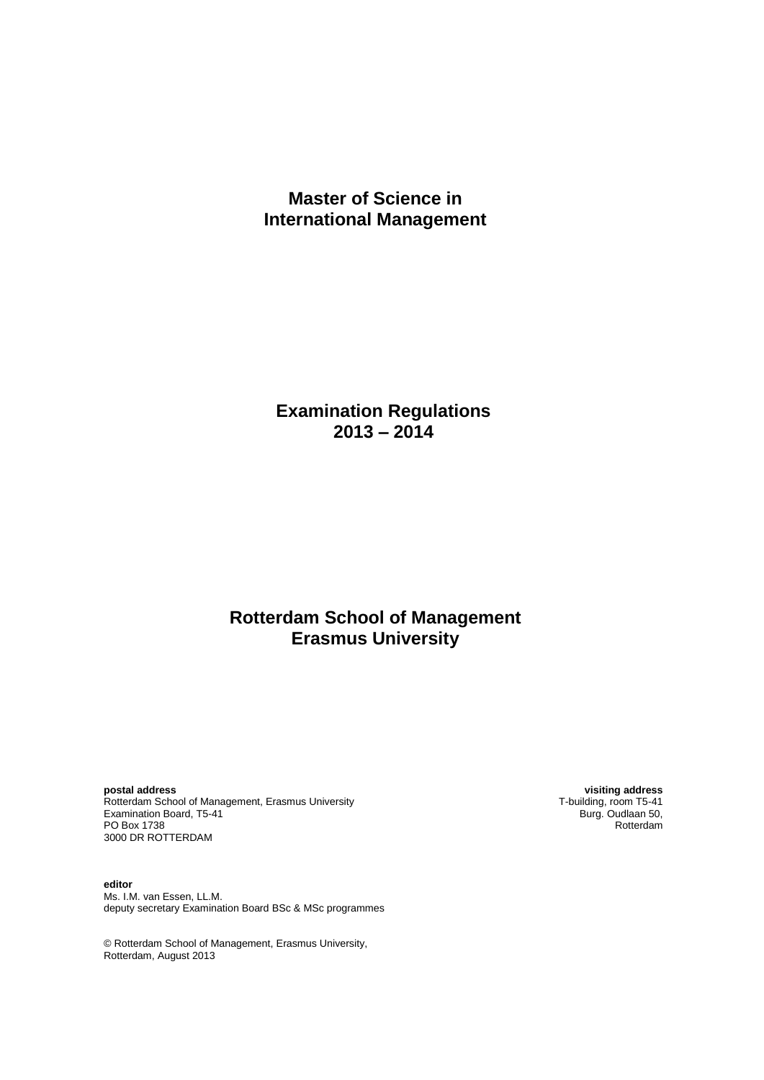# **Master of Science in International Management**

# **Examination Regulations 2013 – 2014**

# **Rotterdam School of Management Erasmus University**

**postal address visiting address** Rotterdam School of Management, Erasmus University **Technology 1986** T-building, room T5-41<br>Examination Board, T5-41 **Examination Board, T5-41** Examination Board, T5-41 Burg. Oudlaan 50, Examination Board, T5-41 Burg. Oudlaan 50, Examination Board, T5-41 PO Box 1738 Rotterdam and the contract of the contract of the contract of the contract of the contract of the contract of the contract of the contract of the contract of the contract of the contract of the contract of the 3000 DR ROTTERDAM

**editor** Ms. I.M. van Essen, LL.M. deputy secretary Examination Board BSc & MSc programmes

© Rotterdam School of Management, Erasmus University, Rotterdam, August 2013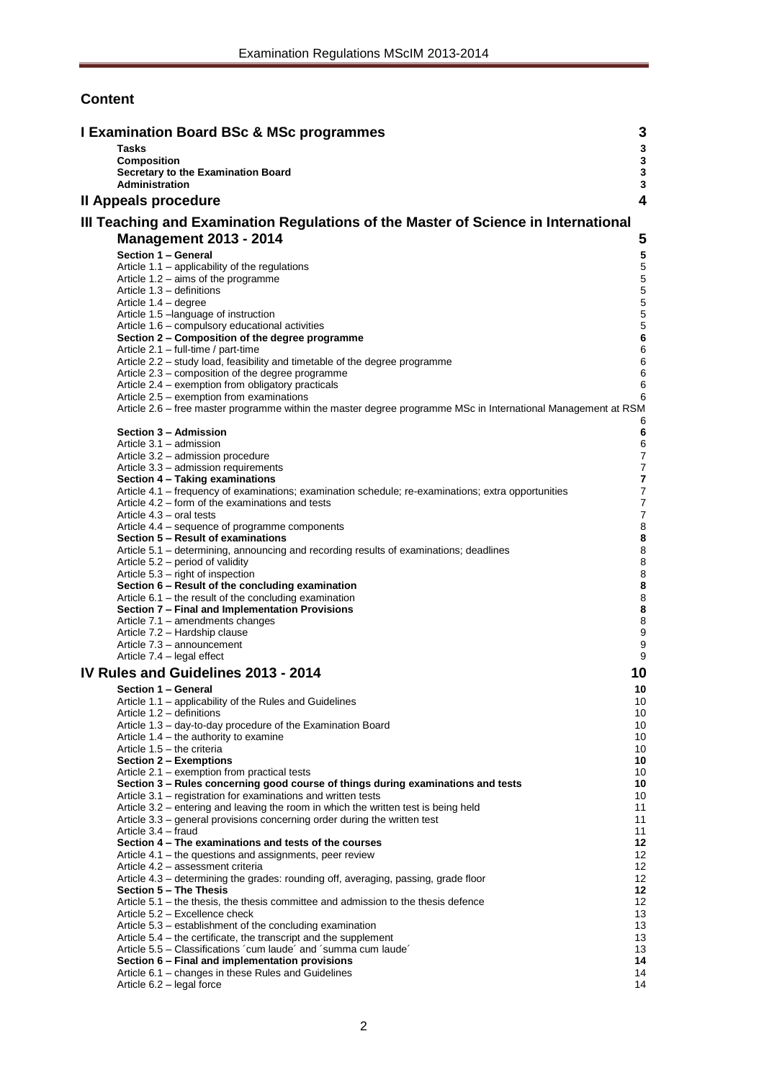## **Content**

| <b>I Examination Board BSc &amp; MSc programmes</b>                                                                                               | 3                                    |
|---------------------------------------------------------------------------------------------------------------------------------------------------|--------------------------------------|
| <b>Tasks</b>                                                                                                                                      | $\mathbf 3$                          |
| <b>Composition</b><br>Secretary to the Examination Board                                                                                          | $\mathbf{3}$<br>$\mathbf 3$          |
| Administration                                                                                                                                    | $\mathbf{3}$                         |
| Il Appeals procedure                                                                                                                              | 4                                    |
| III Teaching and Examination Regulations of the Master of Science in International                                                                |                                      |
| <b>Management 2013 - 2014</b>                                                                                                                     | 5                                    |
| Section 1 - General                                                                                                                               | ${\bf 5}$                            |
| Article 1.1 - applicability of the regulations                                                                                                    | $\mathbf 5$                          |
| Article $1.2 - \text{aims of the programme}$<br>Article 1.3 - definitions                                                                         | $\mathbf 5$<br>$\mathbf 5$           |
| Article 1.4 - degree                                                                                                                              | $\mathbf 5$                          |
| Article 1.5 - language of instruction                                                                                                             | $\sqrt{5}$                           |
| Article 1.6 – compulsory educational activities<br>Section 2 - Composition of the degree programme                                                | 5<br>$\bf 6$                         |
| Article 2.1 - full-time / part-time                                                                                                               | 6                                    |
| Article 2.2 - study load, feasibility and timetable of the degree programme                                                                       | 6<br>6                               |
| Article 2.3 - composition of the degree programme<br>Article 2.4 – exemption from obligatory practicals                                           | 6                                    |
| Article 2.5 – exemption from examinations                                                                                                         | 6                                    |
| Article 2.6 - free master programme within the master degree programme MSc in International Management at RSM                                     | 6                                    |
| Section 3 - Admission                                                                                                                             | 6                                    |
| Article 3.1 - admission                                                                                                                           | 6                                    |
| Article 3.2 - admission procedure<br>Article 3.3 – admission requirements                                                                         | $\boldsymbol{7}$<br>$\boldsymbol{7}$ |
| Section 4 - Taking examinations                                                                                                                   | 7                                    |
| Article 4.1 – frequency of examinations; examination schedule; re-examinations; extra opportunities                                               | $\boldsymbol{7}$                     |
| Article 4.2 – form of the examinations and tests<br>Article 4.3 – oral tests                                                                      | $\boldsymbol{7}$<br>$\boldsymbol{7}$ |
| Article 4.4 – sequence of programme components                                                                                                    | 8                                    |
| Section 5 - Result of examinations<br>Article 5.1 - determining, announcing and recording results of examinations; deadlines                      | 8<br>8                               |
| Article 5.2 – period of validity                                                                                                                  | 8                                    |
| Article 5.3 – right of inspection                                                                                                                 | 8                                    |
| Section 6 - Result of the concluding examination<br>Article $6.1$ – the result of the concluding examination                                      | 8<br>8                               |
| Section 7 - Final and Implementation Provisions                                                                                                   | 8                                    |
| Article 7.1 - amendments changes<br>Article 7.2 - Hardship clause                                                                                 | 8<br>9                               |
| Article 7.3 - announcement                                                                                                                        | 9                                    |
| Article 7.4 - legal effect                                                                                                                        | 9                                    |
| IV Rules and Guidelines 2013 - 2014                                                                                                               | 10                                   |
| Section 1 - General                                                                                                                               | 10                                   |
| Article 1.1 – applicability of the Rules and Guidelines<br>Article 1.2 - definitions                                                              | 10<br>10                             |
| Article 1.3 - day-to-day procedure of the Examination Board                                                                                       | 10                                   |
| Article $1.4$ – the authority to examine                                                                                                          | 10                                   |
| Article 1.5 - the criteria<br>Section 2 – Exemptions                                                                                              | 10<br>10                             |
| Article 2.1 – exemption from practical tests                                                                                                      | 10                                   |
| Section 3 - Rules concerning good course of things during examinations and tests<br>Article 3.1 – registration for examinations and written tests | 10                                   |
| Article 3.2 – entering and leaving the room in which the written test is being held                                                               | 10<br>11                             |
| Article 3.3 – general provisions concerning order during the written test                                                                         | 11                                   |
| Article 3.4 – fraud<br>Section 4 – The examinations and tests of the courses                                                                      | 11<br>12                             |
| Article 4.1 – the questions and assignments, peer review                                                                                          | 12                                   |
| Article 4.2 - assessment criteria                                                                                                                 | 12                                   |
| Article 4.3 - determining the grades: rounding off, averaging, passing, grade floor<br>Section 5 - The Thesis                                     | 12<br>12                             |
| Article $5.1$ – the thesis, the thesis committee and admission to the thesis defence                                                              | 12                                   |
| Article 5.2 - Excellence check                                                                                                                    | 13                                   |
| Article 5.3 – establishment of the concluding examination<br>Article 5.4 – the certificate, the transcript and the supplement                     | 13<br>13                             |
| Article 5.5 – Classifications 'cum laude' and 'summa cum laude'                                                                                   | 13                                   |
| Section 6 - Final and implementation provisions<br>Article 6.1 – changes in these Rules and Guidelines                                            | 14<br>14                             |
| Article 6.2 - legal force                                                                                                                         | 14                                   |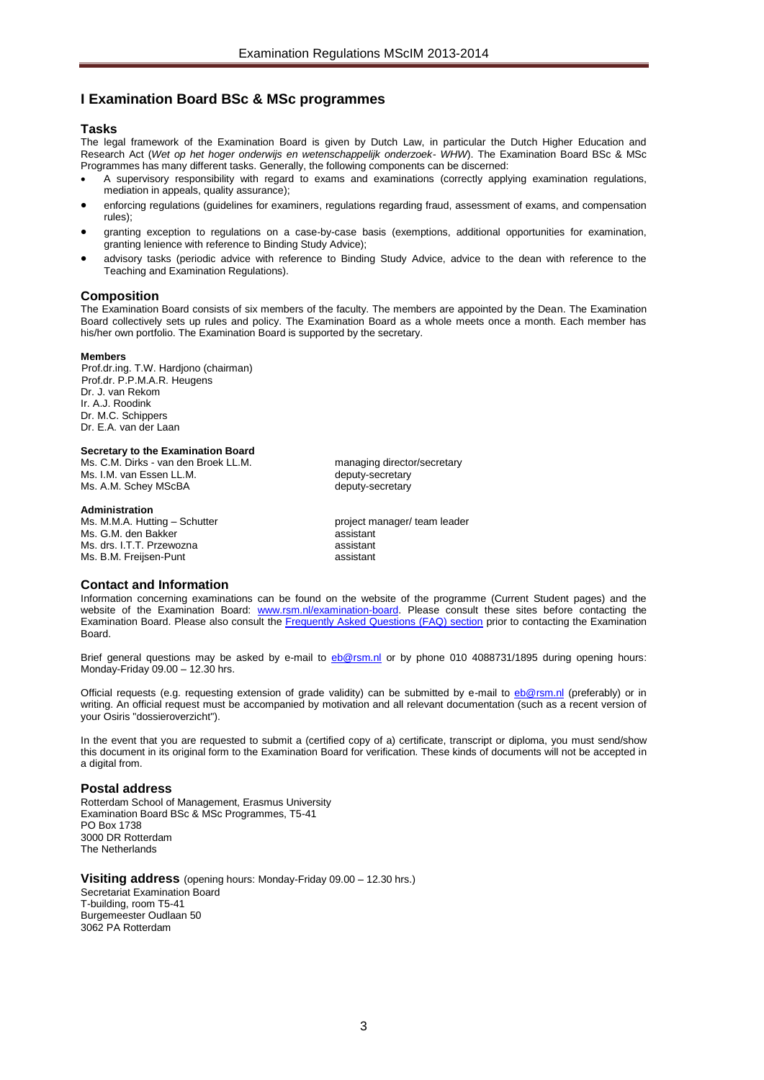### <span id="page-2-0"></span>**I Examination Board BSc & MSc programmes**

### <span id="page-2-1"></span>**Tasks**

The legal framework of the Examination Board is given by Dutch Law, in particular the Dutch Higher Education and Research Act (*Wet op het hoger onderwijs en wetenschappelijk onderzoek- WHW*). The Examination Board BSc & MSc Programmes has many different tasks. Generally, the following components can be discerned:

- A supervisory responsibility with regard to exams and examinations (correctly applying examination regulations, mediation in appeals, quality assurance);
- enforcing regulations (guidelines for examiners, regulations regarding fraud, assessment of exams, and compensation rules);
- granting exception to regulations on a case-by-case basis (exemptions, additional opportunities for examination, granting lenience with reference to Binding Study Advice);
- advisory tasks (periodic advice with reference to Binding Study Advice, advice to the dean with reference to the Teaching and Examination Regulations).

#### <span id="page-2-2"></span>**Composition**

The Examination Board consists of six members of the faculty. The members are appointed by the Dean. The Examination Board collectively sets up rules and policy. The Examination Board as a whole meets once a month. Each member has his/her own portfolio. The Examination Board is supported by the secretary.

#### **Members**

Prof.dr.ing. T.W. Hardjono (chairman) Prof.dr. P.P.M.A.R. Heugens Dr. J. van Rekom Ir. A.J. Roodink Dr. M.C. Schippers Dr. E.A. van der Laan

#### <span id="page-2-3"></span>**Secretary to the Examination Board**

Ms. C.M. Dirks - van den Broek LL.M. managing director/secretary Ms. I.M. van Essen LL.M. deputy-secretary<br>Ms. A.M. Schev MScBA deputy-secretary Ms. A.M. Schev MScBA

### <span id="page-2-4"></span>**Administration**

**Board** 

Ms. M.M.A. Hutting – Schutter project manager/ team leader Ms. G.M. den Bakker assistant Ms. drs. I.T.T. Przewozna assistant Ms. B.M. Freijsen-Punt assistant

**Contact and Information** Information concerning examinations can be found on the website of the programme (Current Student pages) and the website of the Examination Board: [www.rsm.nl/examination-board.](http://www.rsm.nl/examination-board) Please consult these sites before contacting the

Brief general questions may be asked by e-mail to [eb@rsm.nl](mailto:eb@rsm.nl) or by phone 010 4088731/1895 during opening hours: Monday-Friday 09.00 – 12.30 hrs.

Examination Board. Please also consult the [Frequently Asked Questions \(FAQ\) section](http://www.rsm.nl/examination-board/frequently-asked-questions-faqs/) prior to contacting the Examination

Official requests (e.g. requesting extension of grade validity) can be submitted by e-mail to [eb@rsm.nl](mailto:eb@rsm.nl) (preferably) or in writing. An official request must be accompanied by motivation and all relevant documentation (such as a recent version of your Osiris "dossieroverzicht").

In the event that you are requested to submit a (certified copy of a) certificate, transcript or diploma, you must send/show this document in its original form to the Examination Board for verification. These kinds of documents will not be accepted in a digital from.

#### **Postal address**

Rotterdam School of Management, Erasmus University Examination Board BSc & MSc Programmes, T5-41 PO Box 1738 3000 DR Rotterdam The Netherlands

**Visiting address** (opening hours: Monday-Friday 09.00 – 12.30 hrs.) Secretariat Examination Board T-building, room T5-41 Burgemeester Oudlaan 50 3062 PA Rotterdam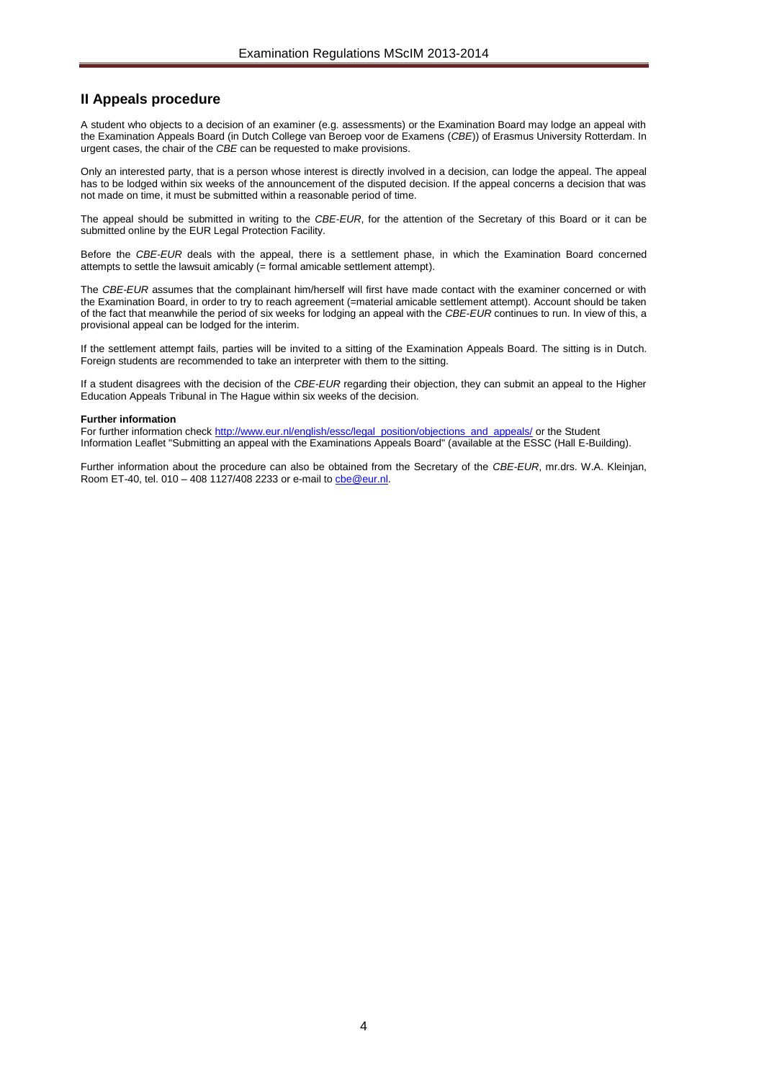### <span id="page-3-0"></span>**II Appeals procedure**

A student who objects to a decision of an examiner (e.g. assessments) or the Examination Board may lodge an appeal with the Examination Appeals Board (in Dutch College van Beroep voor de Examens (*CBE*)) of Erasmus University Rotterdam. In urgent cases, the chair of the *CBE* can be requested to make provisions.

Only an interested party, that is a person whose interest is directly involved in a decision, can lodge the appeal. The appeal has to be lodged within six weeks of the announcement of the disputed decision. If the appeal concerns a decision that was not made on time, it must be submitted within a reasonable period of time.

The appeal should be submitted in writing to the *CBE*-*EUR*, for the attention of the Secretary of this Board or it can be submitted online by the EUR Legal Protection Facility.

Before the *CBE*-*EUR* deals with the appeal, there is a settlement phase, in which the Examination Board concerned attempts to settle the lawsuit amicably (= formal amicable settlement attempt).

The *CBE*-*EUR* assumes that the complainant him/herself will first have made contact with the examiner concerned or with the Examination Board, in order to try to reach agreement (=material amicable settlement attempt). Account should be taken of the fact that meanwhile the period of six weeks for lodging an appeal with the *CBE*-*EUR* continues to run. In view of this, a provisional appeal can be lodged for the interim.

If the settlement attempt fails, parties will be invited to a sitting of the Examination Appeals Board. The sitting is in Dutch. Foreign students are recommended to take an interpreter with them to the sitting.

If a student disagrees with the decision of the *CBE-EUR* regarding their objection, they can submit an appeal to the Higher Education Appeals Tribunal in The Hague within six weeks of the decision.

#### **Further information**

For further information chec[k http://www.eur.nl/english/essc/legal\\_position/objections\\_and\\_appeals/](http://www.eur.nl/english/essc/legal_position/objections_and_appeals/) or the Student Information Leaflet "Submitting an appeal with the Examinations Appeals Board" (available at the ESSC (Hall E-Building).

Further information about the procedure can also be obtained from the Secretary of the *CBE*-*EUR*, mr.drs. W.A. Kleinjan, Room ET-40, tel. 010 – 408 1127/408 2233 or e-mail t[o cbe@eur.nl.](mailto:cbe@eur.nl)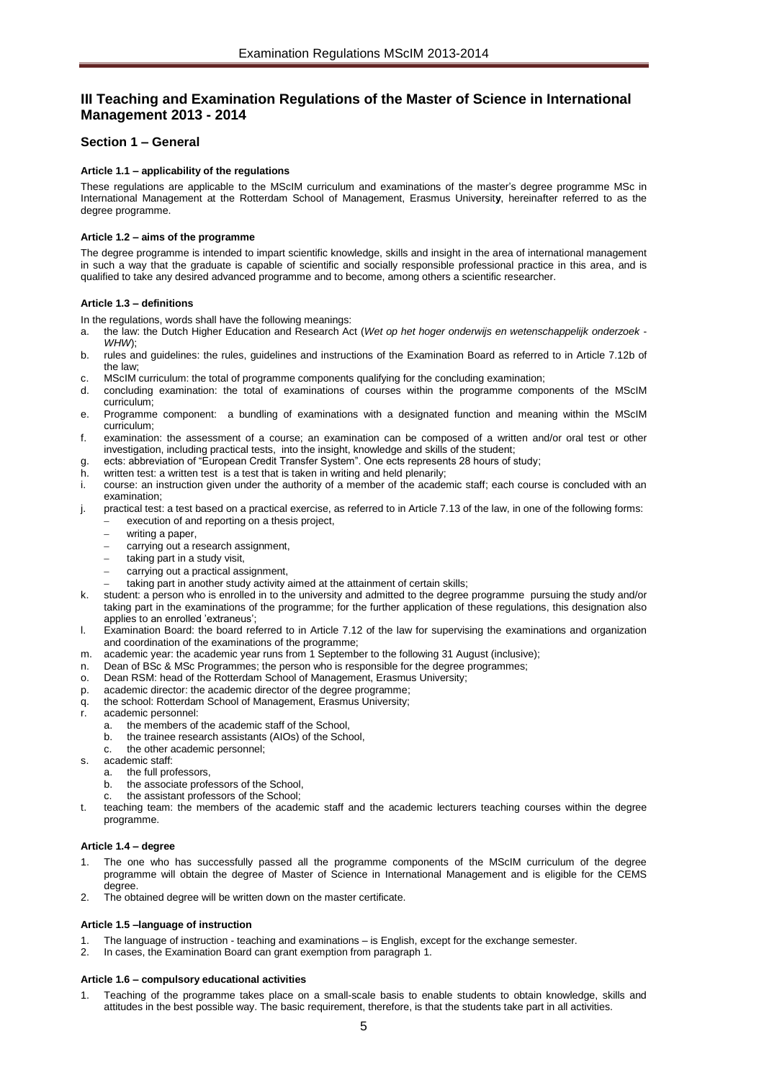## <span id="page-4-0"></span>**III Teaching and Examination Regulations of the Master of Science in International Management 2013 - 2014**

### <span id="page-4-2"></span><span id="page-4-1"></span>**Section 1 – General**

### **Article 1.1 – applicability of the regulations**

These regulations are applicable to the MScIM curriculum and examinations of the master's degree programme MSc in International Management at the Rotterdam School of Management, Erasmus Universit**y**, hereinafter referred to as the degree programme.

### <span id="page-4-3"></span>**Article 1.2 – aims of the programme**

The degree programme is intended to impart scientific knowledge, skills and insight in the area of international management in such a way that the graduate is capable of scientific and socially responsible professional practice in this area, and is qualified to take any desired advanced programme and to become, among others a scientific researcher.

### <span id="page-4-4"></span>**Article 1.3 – definitions**

In the regulations, words shall have the following meanings:

- a. the law: the Dutch Higher Education and Research Act (*Wet op het hoger onderwijs en wetenschappelijk onderzoek WHW*);
- b. rules and guidelines: the rules, guidelines and instructions of the Examination Board as referred to in Article 7.12b of the law;
- c. MScIM curriculum: the total of programme components qualifying for the concluding examination;
- d. concluding examination: the total of examinations of courses within the programme components of the MScIM curriculum;
- e. Programme component: a bundling of examinations with a designated function and meaning within the MScIM curriculum;
- f. examination: the assessment of a course; an examination can be composed of a written and/or oral test or other investigation, including practical tests, into the insight, knowledge and skills of the student;
- g. ects: abbreviation of "European Credit Transfer System". One ects represents 28 hours of study;
- h. written test: a written test is a test that is taken in writing and held plenarily;
- i. course: an instruction given under the authority of a member of the academic staff; each course is concluded with an examination;
- j. practical test: a test based on a practical exercise, as referred to in Article 7.13 of the law, in one of the following forms: execution of and reporting on a thesis project,
	- writing a paper,
	- carrying out a research assignment,
	- taking part in a study visit,
	- carrying out a practical assignment,
	- taking part in another study activity aimed at the attainment of certain skills;
- k. student: a person who is enrolled in to the university and admitted to the degree programme pursuing the study and/or taking part in the examinations of the programme; for the further application of these regulations, this designation also applies to an enrolled 'extraneus';
- l. Examination Board: the board referred to in Article 7.12 of the law for supervising the examinations and organization and coordination of the examinations of the programme;
- m. academic year: the academic year runs from 1 September to the following 31 August (inclusive);
- n. Dean of BSc & MSc Programmes; the person who is responsible for the degree programmes;
- o. Dean RSM: head of the Rotterdam School of Management, Erasmus University;
- p. academic director: the academic director of the degree programme;
- q. the school: Rotterdam School of Management, Erasmus University;
- r. academic personnel:
	- a. the members of the academic staff of the School,
	- b. the trainee research assistants (AIOs) of the School,
	- c. the other academic personnel;
- s. academic staff:
	- a. the full professors,
	- b. the associate professors of the School,
	- c. the assistant professors of the School;
- t. teaching team: the members of the academic staff and the academic lecturers teaching courses within the degree programme.

### <span id="page-4-5"></span>**Article 1.4 – degree**

- The one who has successfully passed all the programme components of the MScIM curriculum of the degree programme will obtain the degree of Master of Science in International Management and is eligible for the CEMS degree.
- <span id="page-4-6"></span>2. The obtained degree will be written down on the master certificate.

### **Article 1.5 –language of instruction**

- 1. The language of instruction teaching and examinations is English, except for the exchange semester.
- <span id="page-4-7"></span>2. In cases, the Examination Board can grant exemption from paragraph 1.

### **Article 1.6 – compulsory educational activities**

1. Teaching of the programme takes place on a small-scale basis to enable students to obtain knowledge, skills and attitudes in the best possible way. The basic requirement, therefore, is that the students take part in all activities.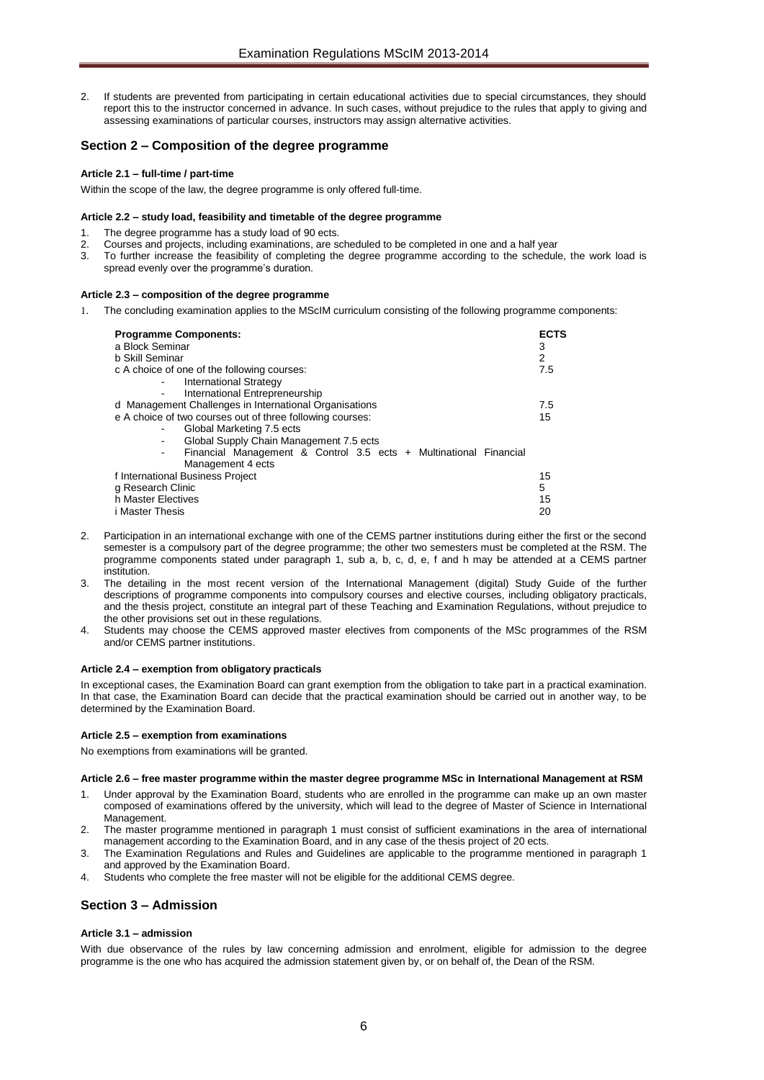2. If students are prevented from participating in certain educational activities due to special circumstances, they should report this to the instructor concerned in advance. In such cases, without prejudice to the rules that apply to giving and assessing examinations of particular courses, instructors may assign alternative activities.

### <span id="page-5-0"></span>**Section 2 – Composition of the degree programme**

### <span id="page-5-1"></span>**Article 2.1 – full-time / part-time**

<span id="page-5-2"></span>Within the scope of the law, the degree programme is only offered full-time.

### **Article 2.2 – study load, feasibility and timetable of the degree programme**

- 1. The degree programme has a study load of 90 ects.
- 2. Courses and projects, including examinations, are scheduled to be completed in one and a half year
- 3. To further increase the feasibility of completing the degree programme according to the schedule, the work load is spread evenly over the programme's duration.

### <span id="page-5-3"></span>**Article 2.3 – composition of the degree programme**

1. The concluding examination applies to the MScIM curriculum consisting of the following programme components:

| <b>Programme Components:</b><br>a Block Seminar                   | <b>ECTS</b><br>3 |
|-------------------------------------------------------------------|------------------|
| b Skill Seminar                                                   | 2                |
| c A choice of one of the following courses:                       | 7.5              |
| <b>International Strategy</b>                                     |                  |
| International Entrepreneurship                                    |                  |
| d Management Challenges in International Organisations            | 7.5              |
| e A choice of two courses out of three following courses:         | 15               |
| Global Marketing 7.5 ects                                         |                  |
| Global Supply Chain Management 7.5 ects                           |                  |
| Financial Management & Control 3.5 ects + Multinational Financial |                  |
| Management 4 ects                                                 |                  |
| f International Business Project                                  | 15               |
| g Research Clinic                                                 | 5                |
| h Master Electives                                                | 15               |
| <i>i</i> Master Thesis                                            | 20               |

- 2. Participation in an international exchange with one of the CEMS partner institutions during either the first or the second semester is a compulsory part of the degree programme; the other two semesters must be completed at the RSM. The programme components stated under paragraph 1, sub a, b, c, d, e, f and h may be attended at a CEMS partner institution.
- The detailing in the most recent version of the International Management (digital) Study Guide of the further descriptions of programme components into compulsory courses and elective courses, including obligatory practicals, and the thesis project, constitute an integral part of these Teaching and Examination Regulations, without prejudice to the other provisions set out in these regulations.
- 4. Students may choose the CEMS approved master electives from components of the MSc programmes of the RSM and/or CEMS partner institutions.

### <span id="page-5-4"></span>**Article 2.4 – exemption from obligatory practicals**

In exceptional cases, the Examination Board can grant exemption from the obligation to take part in a practical examination. In that case, the Examination Board can decide that the practical examination should be carried out in another way, to be determined by the Examination Board.

### <span id="page-5-5"></span>**Article 2.5 – exemption from examinations**

<span id="page-5-6"></span>No exemptions from examinations will be granted.

### **Article 2.6 – free master programme within the master degree programme MSc in International Management at RSM**

- 1. Under approval by the Examination Board, students who are enrolled in the programme can make up an own master composed of examinations offered by the university, which will lead to the degree of Master of Science in International Management.
- 2. The master programme mentioned in paragraph 1 must consist of sufficient examinations in the area of international management according to the Examination Board, and in any case of the thesis project of 20 ects.
- 3. The Examination Regulations and Rules and Guidelines are applicable to the programme mentioned in paragraph 1 and approved by the Examination Board.
- 4. Students who complete the free master will not be eligible for the additional CEMS degree.

### <span id="page-5-8"></span><span id="page-5-7"></span>**Section 3 – Admission**

### **Article 3.1 – admission**

With due observance of the rules by law concerning admission and enrolment, eligible for admission to the degree programme is the one who has acquired the admission statement given by, or on behalf of, the Dean of the RSM.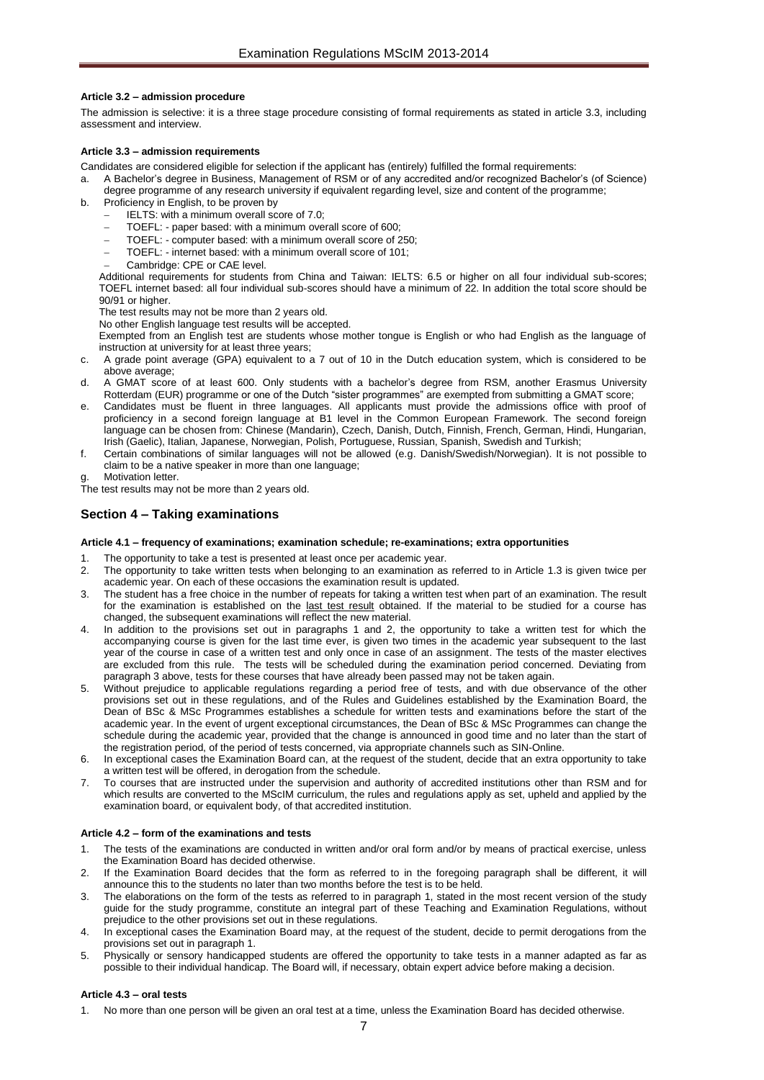### <span id="page-6-0"></span>**Article 3.2 – admission procedure**

The admission is selective: it is a three stage procedure consisting of formal requirements as stated in article 3.3, including assessment and interview.

### <span id="page-6-1"></span>**Article 3.3 – admission requirements**

Candidates are considered eligible for selection if the applicant has (entirely) fulfilled the formal requirements:

- a. A Bachelor's degree in Business, Management of RSM or of any accredited and/or recognized Bachelor's (of Science) degree programme of any research university if equivalent regarding level, size and content of the programme;
- b. Proficiency in English, to be proven by
	- IELTS: with a minimum overall score of 7.0;
	- TOEFL: paper based: with a minimum overall score of 600;
	- TOEFL: computer based: with a minimum overall score of 250;
	- TOEFL: internet based: with a minimum overall score of 101;
	- Cambridge: CPE or CAE level.

Additional requirements for students from China and Taiwan: IELTS: 6.5 or higher on all four individual sub-scores; TOEFL internet based: all four individual sub-scores should have a minimum of 22. In addition the total score should be 90/91 or higher.

The test results may not be more than 2 years old.

No other English language test results will be accepted.

Exempted from an English test are students whose mother tongue is English or who had English as the language of instruction at university for at least three years;

- c. A grade point average (GPA) equivalent to a 7 out of 10 in the Dutch education system, which is considered to be above average;
- d. A GMAT score of at least 600. Only students with a bachelor's degree from RSM, another Erasmus University Rotterdam (EUR) programme or one of the Dutch "sister programmes" are exempted from submitting a GMAT score;
- e. Candidates must be fluent in three languages. All applicants must provide the admissions office with proof of proficiency in a second foreign language at B1 level in the Common European Framework. The second foreign language can be chosen from: Chinese (Mandarin), Czech, Danish, Dutch, Finnish, French, German, Hindi, Hungarian, Irish (Gaelic), Italian, Japanese, Norwegian, Polish, Portuguese, Russian, Spanish, Swedish and Turkish;
- f. Certain combinations of similar languages will not be allowed (e.g. Danish/Swedish/Norwegian). It is not possible to claim to be a native speaker in more than one language;
- Motivation letter.
- The test results may not be more than 2 years old.

### <span id="page-6-3"></span><span id="page-6-2"></span>**Section 4 – Taking examinations**

### **Article 4.1 – frequency of examinations; examination schedule; re-examinations; extra opportunities**

- The opportunity to take a test is presented at least once per academic year.
- 2. The opportunity to take written tests when belonging to an examination as referred to in Article 1.3 is given twice per academic year. On each of these occasions the examination result is updated.
- 3. The student has a free choice in the number of repeats for taking a written test when part of an examination. The result for the examination is established on the last test result obtained. If the material to be studied for a course has changed, the subsequent examinations will reflect the new material.
- In addition to the provisions set out in paragraphs 1 and 2, the opportunity to take a written test for which the accompanying course is given for the last time ever, is given two times in the academic year subsequent to the last year of the course in case of a written test and only once in case of an assignment. The tests of the master electives are excluded from this rule. The tests will be scheduled during the examination period concerned. Deviating from paragraph 3 above, tests for these courses that have already been passed may not be taken again.
- 5. Without prejudice to applicable regulations regarding a period free of tests, and with due observance of the other provisions set out in these regulations, and of the Rules and Guidelines established by the Examination Board, the Dean of BSc & MSc Programmes establishes a schedule for written tests and examinations before the start of the academic year. In the event of urgent exceptional circumstances, the Dean of BSc & MSc Programmes can change the schedule during the academic year, provided that the change is announced in good time and no later than the start of the registration period, of the period of tests concerned, via appropriate channels such as SIN-Online.
- In exceptional cases the Examination Board can, at the request of the student, decide that an extra opportunity to take a written test will be offered, in derogation from the schedule.
- 7. To courses that are instructed under the supervision and authority of accredited institutions other than RSM and for which results are converted to the MScIM curriculum, the rules and regulations apply as set, upheld and applied by the examination board, or equivalent body, of that accredited institution.

#### <span id="page-6-4"></span>**Article 4.2 – form of the examinations and tests**

- 1. The tests of the examinations are conducted in written and/or oral form and/or by means of practical exercise, unless the Examination Board has decided otherwise.
- 2. If the Examination Board decides that the form as referred to in the foregoing paragraph shall be different, it will announce this to the students no later than two months before the test is to be held.
- 3. The elaborations on the form of the tests as referred to in paragraph 1, stated in the most recent version of the study guide for the study programme, constitute an integral part of these Teaching and Examination Regulations, without prejudice to the other provisions set out in these regulations.
- 4. In exceptional cases the Examination Board may, at the request of the student, decide to permit derogations from the provisions set out in paragraph 1.
- 5. Physically or sensory handicapped students are offered the opportunity to take tests in a manner adapted as far as possible to their individual handicap. The Board will, if necessary, obtain expert advice before making a decision.

#### <span id="page-6-5"></span>**Article 4.3 – oral tests**

1. No more than one person will be given an oral test at a time, unless the Examination Board has decided otherwise.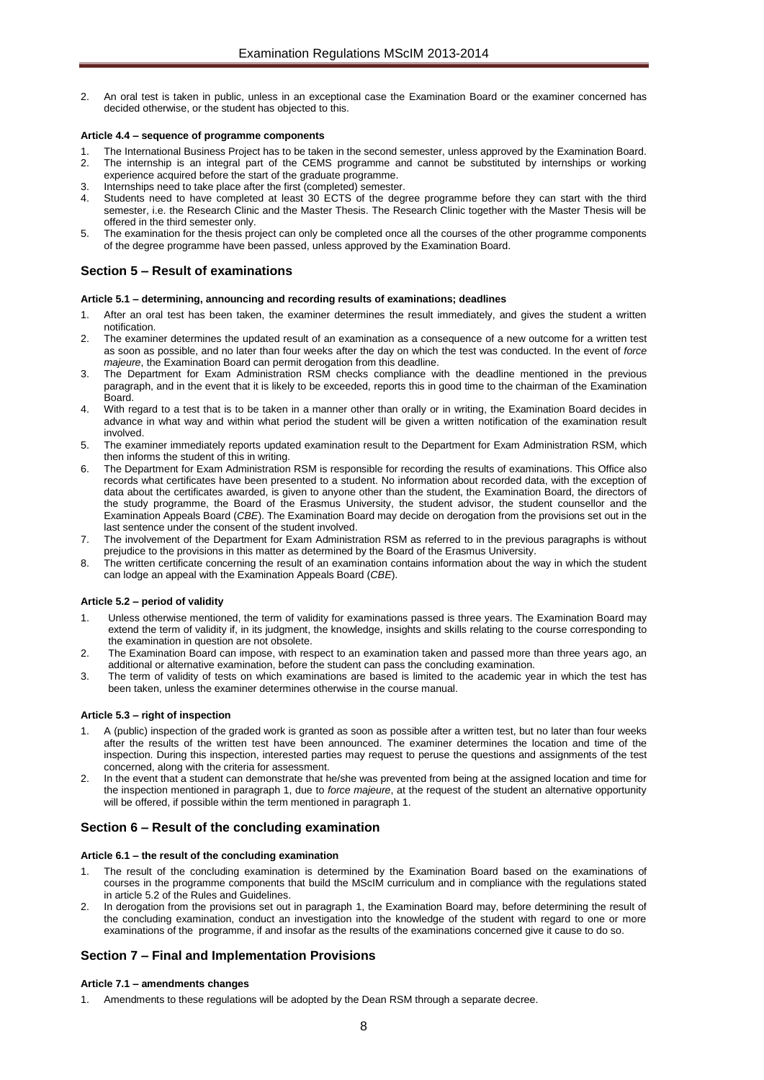2. An oral test is taken in public, unless in an exceptional case the Examination Board or the examiner concerned has decided otherwise, or the student has objected to this.

### <span id="page-7-0"></span>**Article 4.4 – sequence of programme components**

- 1. The International Business Project has to be taken in the second semester, unless approved by the Examination Board.<br>2. The internship is an integral part of the CEMS programme and cannot be substituted by internships o The internship is an integral part of the CEMS programme and cannot be substituted by internships or working
- experience acquired before the start of the graduate programme. Internships need to take place after the first (completed) semester.
- Students need to have completed at least 30 ECTS of the degree programme before they can start with the third semester, i.e. the Research Clinic and the Master Thesis. The Research Clinic together with the Master Thesis will be offered in the third semester only.
- The examination for the thesis project can only be completed once all the courses of the other programme components of the degree programme have been passed, unless approved by the Examination Board.

### <span id="page-7-1"></span>**Section 5 – Result of examinations**

#### <span id="page-7-2"></span>**Article 5.1 – determining, announcing and recording results of examinations; deadlines**

- After an oral test has been taken, the examiner determines the result immediately, and gives the student a written notification.
- 2. The examiner determines the updated result of an examination as a consequence of a new outcome for a written test as soon as possible, and no later than four weeks after the day on which the test was conducted. In the event of *force majeure*, the Examination Board can permit derogation from this deadline.
- 3. The Department for Exam Administration RSM checks compliance with the deadline mentioned in the previous paragraph, and in the event that it is likely to be exceeded, reports this in good time to the chairman of the Examination Board.
- With regard to a test that is to be taken in a manner other than orally or in writing, the Examination Board decides in advance in what way and within what period the student will be given a written notification of the examination result involved.
- 5. The examiner immediately reports updated examination result to the Department for Exam Administration RSM, which then informs the student of this in writing.
- 6. The Department for Exam Administration RSM is responsible for recording the results of examinations. This Office also records what certificates have been presented to a student. No information about recorded data, with the exception of data about the certificates awarded, is given to anyone other than the student, the Examination Board, the directors of the study programme, the Board of the Erasmus University, the student advisor, the student counsellor and the Examination Appeals Board (*CBE*). The Examination Board may decide on derogation from the provisions set out in the last sentence under the consent of the student involved.
- The involvement of the Department for Exam Administration RSM as referred to in the previous paragraphs is without prejudice to the provisions in this matter as determined by the Board of the Erasmus University.
- 8. The written certificate concerning the result of an examination contains information about the way in which the student can lodge an appeal with the Examination Appeals Board (*CBE*).

### <span id="page-7-3"></span>**Article 5.2 – period of validity**

- Unless otherwise mentioned, the term of validity for examinations passed is three years. The Examination Board may extend the term of validity if, in its judgment, the knowledge, insights and skills relating to the course corresponding to the examination in question are not obsolete.
- 2. The Examination Board can impose, with respect to an examination taken and passed more than three years ago, an additional or alternative examination, before the student can pass the concluding examination.
- 3. The term of validity of tests on which examinations are based is limited to the academic year in which the test has been taken, unless the examiner determines otherwise in the course manual.

### <span id="page-7-4"></span>**Article 5.3 – right of inspection**

- 1. A (public) inspection of the graded work is granted as soon as possible after a written test, but no later than four weeks after the results of the written test have been announced. The examiner determines the location and time of the inspection. During this inspection, interested parties may request to peruse the questions and assignments of the test concerned, along with the criteria for assessment.
- 2. In the event that a student can demonstrate that he/she was prevented from being at the assigned location and time for the inspection mentioned in paragraph 1, due to *force majeure*, at the request of the student an alternative opportunity will be offered, if possible within the term mentioned in paragraph 1.

### <span id="page-7-6"></span><span id="page-7-5"></span>**Section 6 – Result of the concluding examination**

#### **Article 6.1 – the result of the concluding examination**

- 1. The result of the concluding examination is determined by the Examination Board based on the examinations of courses in the programme components that build the MScIM curriculum and in compliance with the regulations stated in article 5.2 of the Rules and Guidelines.
- 2. In derogation from the provisions set out in paragraph 1, the Examination Board may, before determining the result of the concluding examination, conduct an investigation into the knowledge of the student with regard to one or more examinations of the programme, if and insofar as the results of the examinations concerned give it cause to do so.

### <span id="page-7-8"></span><span id="page-7-7"></span>**Section 7 – Final and Implementation Provisions**

#### **Article 7.1 – amendments changes**

Amendments to these regulations will be adopted by the Dean RSM through a separate decree.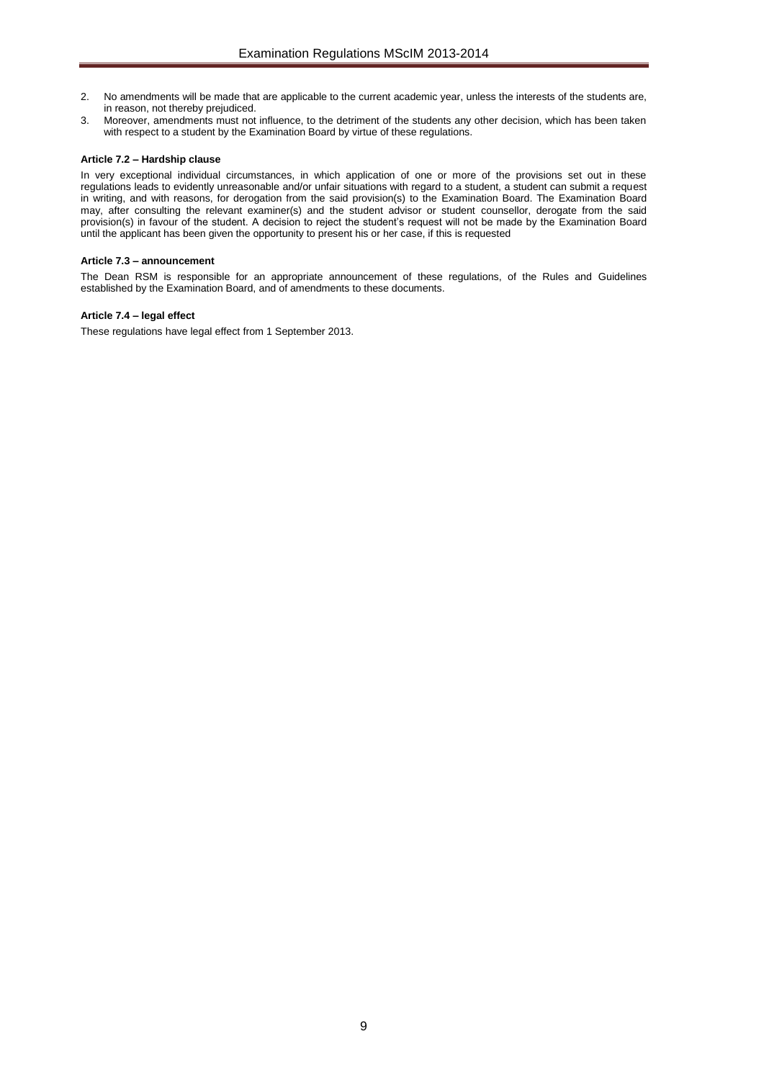- 2. No amendments will be made that are applicable to the current academic year, unless the interests of the students are, in reason, not thereby prejudiced.
- 3. Moreover, amendments must not influence, to the detriment of the students any other decision, which has been taken with respect to a student by the Examination Board by virtue of these regulations.

### <span id="page-8-0"></span>**Article 7.2 – Hardship clause**

In very exceptional individual circumstances, in which application of one or more of the provisions set out in these regulations leads to evidently unreasonable and/or unfair situations with regard to a student, a student can submit a request in writing, and with reasons, for derogation from the said provision(s) to the Examination Board. The Examination Board may, after consulting the relevant examiner(s) and the student advisor or student counsellor, derogate from the said provision(s) in favour of the student. A decision to reject the student's request will not be made by the Examination Board until the applicant has been given the opportunity to present his or her case, if this is requested

#### <span id="page-8-1"></span>**Article 7.3 – announcement**

The Dean RSM is responsible for an appropriate announcement of these regulations, of the Rules and Guidelines established by the Examination Board, and of amendments to these documents.

### <span id="page-8-2"></span>**Article 7.4 – legal effect**

These regulations have legal effect from 1 September 2013.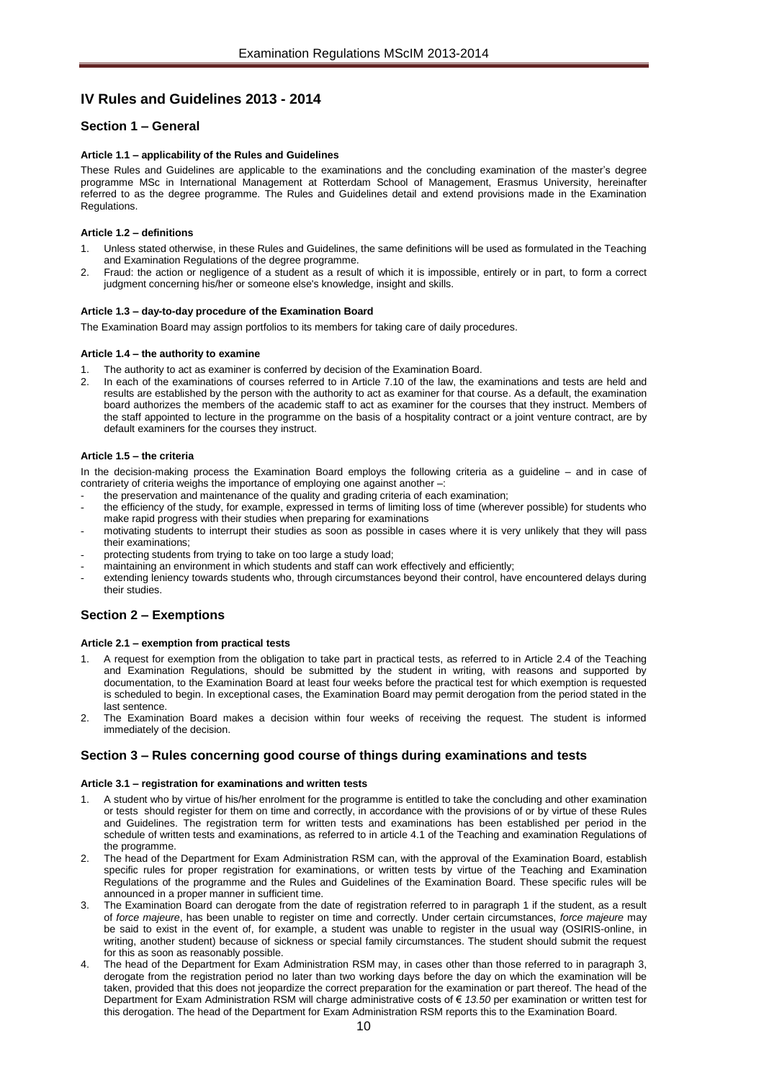## <span id="page-9-0"></span>**IV Rules and Guidelines 2013 - 2014**

### <span id="page-9-2"></span><span id="page-9-1"></span>**Section 1 – General**

### **Article 1.1 – applicability of the Rules and Guidelines**

These Rules and Guidelines are applicable to the examinations and the concluding examination of the master's degree programme MSc in International Management at Rotterdam School of Management, Erasmus University, hereinafter referred to as the degree programme. The Rules and Guidelines detail and extend provisions made in the Examination Regulations.

### <span id="page-9-3"></span>**Article 1.2 – definitions**

- 1. Unless stated otherwise, in these Rules and Guidelines, the same definitions will be used as formulated in the Teaching and Examination Regulations of the degree programme.
- 2. Fraud: the action or negligence of a student as a result of which it is impossible, entirely or in part, to form a correct judgment concerning his/her or someone else's knowledge, insight and skills.

### <span id="page-9-4"></span>**Article 1.3 – day-to-day procedure of the Examination Board**

<span id="page-9-5"></span>The Examination Board may assign portfolios to its members for taking care of daily procedures.

### **Article 1.4 – the authority to examine**

- 1. The authority to act as examiner is conferred by decision of the Examination Board.
- 2. In each of the examinations of courses referred to in Article 7.10 of the law, the examinations and tests are held and results are established by the person with the authority to act as examiner for that course. As a default, the examination board authorizes the members of the academic staff to act as examiner for the courses that they instruct. Members of the staff appointed to lecture in the programme on the basis of a hospitality contract or a joint venture contract, are by default examiners for the courses they instruct.

### <span id="page-9-6"></span>**Article 1.5 – the criteria**

In the decision-making process the Examination Board employs the following criteria as a guideline – and in case of contrariety of criteria weighs the importance of employing one against another -:

- the preservation and maintenance of the quality and grading criteria of each examination;
- the efficiency of the study, for example, expressed in terms of limiting loss of time (wherever possible) for students who make rapid progress with their studies when preparing for examinations
- motivating students to interrupt their studies as soon as possible in cases where it is very unlikely that they will pass their examinations;
- protecting students from trying to take on too large a study load;
- maintaining an environment in which students and staff can work effectively and efficiently;
- extending leniency towards students who, through circumstances beyond their control, have encountered delays during their studies.

### <span id="page-9-8"></span><span id="page-9-7"></span>**Section 2 – Exemptions**

#### **Article 2.1 – exemption from practical tests**

- 1. A request for exemption from the obligation to take part in practical tests, as referred to in Article 2.4 of the Teaching and Examination Regulations, should be submitted by the student in writing, with reasons and supported by documentation, to the Examination Board at least four weeks before the practical test for which exemption is requested is scheduled to begin. In exceptional cases, the Examination Board may permit derogation from the period stated in the last sentence.
- 2. The Examination Board makes a decision within four weeks of receiving the request. The student is informed immediately of the decision.

### <span id="page-9-10"></span><span id="page-9-9"></span>**Section 3 – Rules concerning good course of things during examinations and tests**

#### **Article 3.1 – registration for examinations and written tests**

- 1. A student who by virtue of his/her enrolment for the programme is entitled to take the concluding and other examination or tests should register for them on time and correctly, in accordance with the provisions of or by virtue of these Rules and Guidelines. The registration term for written tests and examinations has been established per period in the schedule of written tests and examinations, as referred to in article 4.1 of the Teaching and examination Regulations of the programme.
- 2. The head of the Department for Exam Administration RSM can, with the approval of the Examination Board, establish specific rules for proper registration for examinations, or written tests by virtue of the Teaching and Examination Regulations of the programme and the Rules and Guidelines of the Examination Board. These specific rules will be announced in a proper manner in sufficient time.
- 3. The Examination Board can derogate from the date of registration referred to in paragraph 1 if the student, as a result of *force majeure*, has been unable to register on time and correctly. Under certain circumstances, *force majeure* may be said to exist in the event of, for example, a student was unable to register in the usual way (OSIRIS-online, in writing, another student) because of sickness or special family circumstances. The student should submit the request for this as soon as reasonably possible.
- The head of the Department for Exam Administration RSM may, in cases other than those referred to in paragraph 3, derogate from the registration period no later than two working days before the day on which the examination will be taken, provided that this does not jeopardize the correct preparation for the examination or part thereof. The head of the Department for Exam Administration RSM will charge administrative costs of € *13.50* per examination or written test for this derogation. The head of the Department for Exam Administration RSM reports this to the Examination Board.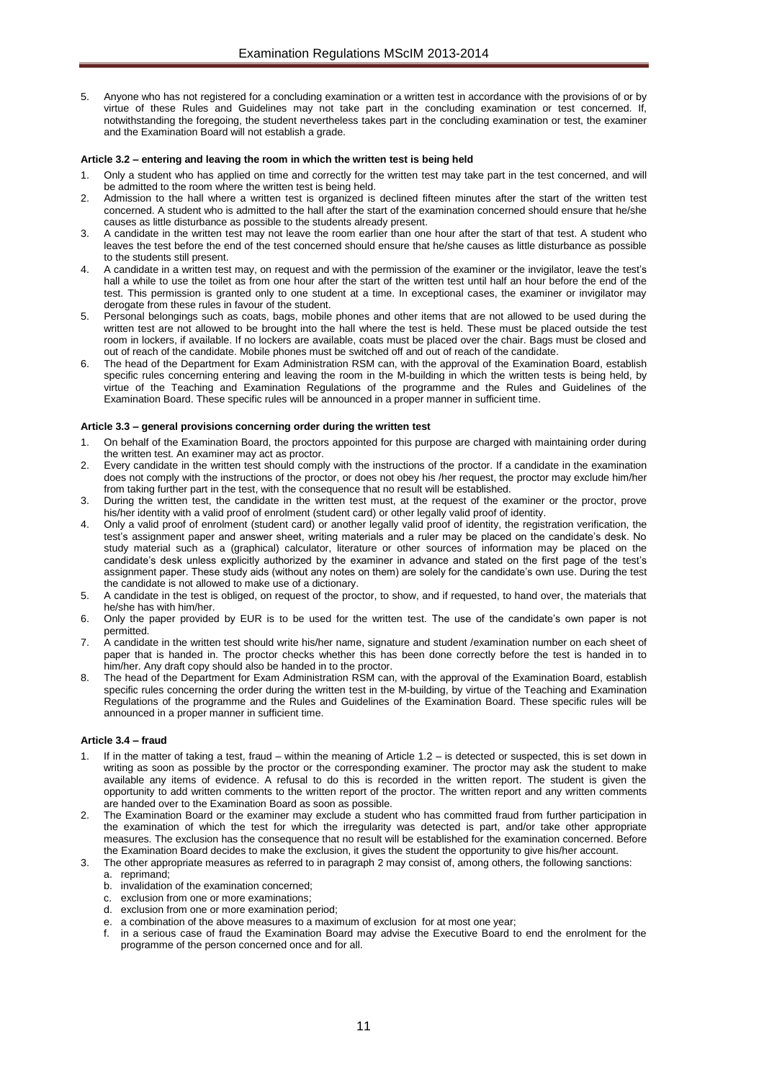5. Anyone who has not registered for a concluding examination or a written test in accordance with the provisions of or by virtue of these Rules and Guidelines may not take part in the concluding examination or test concerned. If, notwithstanding the foregoing, the student nevertheless takes part in the concluding examination or test, the examiner and the Examination Board will not establish a grade.

#### <span id="page-10-0"></span>**Article 3.2 – entering and leaving the room in which the written test is being held**

- 1. Only a student who has applied on time and correctly for the written test may take part in the test concerned, and will be admitted to the room where the written test is being held.
- 2. Admission to the hall where a written test is organized is declined fifteen minutes after the start of the written test concerned. A student who is admitted to the hall after the start of the examination concerned should ensure that he/she causes as little disturbance as possible to the students already present.
- 3. A candidate in the written test may not leave the room earlier than one hour after the start of that test. A student who leaves the test before the end of the test concerned should ensure that he/she causes as little disturbance as possible to the students still present.
- 4. A candidate in a written test may, on request and with the permission of the examiner or the invigilator, leave the test's hall a while to use the toilet as from one hour after the start of the written test until half an hour before the end of the test. This permission is granted only to one student at a time. In exceptional cases, the examiner or invigilator may derogate from these rules in favour of the student.
- 5. Personal belongings such as coats, bags, mobile phones and other items that are not allowed to be used during the written test are not allowed to be brought into the hall where the test is held. These must be placed outside the test room in lockers, if available. If no lockers are available, coats must be placed over the chair. Bags must be closed and out of reach of the candidate. Mobile phones must be switched off and out of reach of the candidate.
- The head of the Department for Exam Administration RSM can, with the approval of the Examination Board, establish specific rules concerning entering and leaving the room in the M-building in which the written tests is being held, by virtue of the Teaching and Examination Regulations of the programme and the Rules and Guidelines of the Examination Board. These specific rules will be announced in a proper manner in sufficient time.

### <span id="page-10-1"></span>**Article 3.3 – general provisions concerning order during the written test**

- 1. On behalf of the Examination Board, the proctors appointed for this purpose are charged with maintaining order during the written test. An examiner may act as proctor.
- 2. Every candidate in the written test should comply with the instructions of the proctor. If a candidate in the examination does not comply with the instructions of the proctor, or does not obey his /her request, the proctor may exclude him/her from taking further part in the test, with the consequence that no result will be established.
- 3. During the written test, the candidate in the written test must, at the request of the examiner or the proctor, prove his/her identity with a valid proof of enrolment (student card) or other legally valid proof of identity.
- 4. Only a valid proof of enrolment (student card) or another legally valid proof of identity, the registration verification, the test's assignment paper and answer sheet, writing materials and a ruler may be placed on the candidate's desk. No study material such as a (graphical) calculator, literature or other sources of information may be placed on the candidate's desk unless explicitly authorized by the examiner in advance and stated on the first page of the test's assignment paper. These study aids (without any notes on them) are solely for the candidate's own use. During the test the candidate is not allowed to make use of a dictionary.
- 5. A candidate in the test is obliged, on request of the proctor, to show, and if requested, to hand over, the materials that he/she has with him/her.
- 6. Only the paper provided by EUR is to be used for the written test. The use of the candidate's own paper is not permitted.
- 7. A candidate in the written test should write his/her name, signature and student /examination number on each sheet of paper that is handed in. The proctor checks whether this has been done correctly before the test is handed in to him/her. Any draft copy should also be handed in to the proctor.
- 8. The head of the Department for Exam Administration RSM can, with the approval of the Examination Board, establish specific rules concerning the order during the written test in the M-building, by virtue of the Teaching and Examination Regulations of the programme and the Rules and Guidelines of the Examination Board. These specific rules will be announced in a proper manner in sufficient time.

#### <span id="page-10-2"></span>**Article 3.4 – fraud**

- 1. If in the matter of taking a test, fraud within the meaning of Article 1.2 is detected or suspected, this is set down in writing as soon as possible by the proctor or the corresponding examiner. The proctor may ask the student to make available any items of evidence. A refusal to do this is recorded in the written report. The student is given the opportunity to add written comments to the written report of the proctor. The written report and any written comments are handed over to the Examination Board as soon as possible.
- 2. The Examination Board or the examiner may exclude a student who has committed fraud from further participation in the examination of which the test for which the irregularity was detected is part, and/or take other appropriate measures. The exclusion has the consequence that no result will be established for the examination concerned. Before the Examination Board decides to make the exclusion, it gives the student the opportunity to give his/her account.
- 3. The other appropriate measures as referred to in paragraph 2 may consist of, among others, the following sanctions: a. reprimand;
	- b. invalidation of the examination concerned;
	- c. exclusion from one or more examinations;
	- d. exclusion from one or more examination period;
	- e. a combination of the above measures to a maximum of exclusion for at most one year;
	- in a serious case of fraud the Examination Board may advise the Executive Board to end the enrolment for the programme of the person concerned once and for all.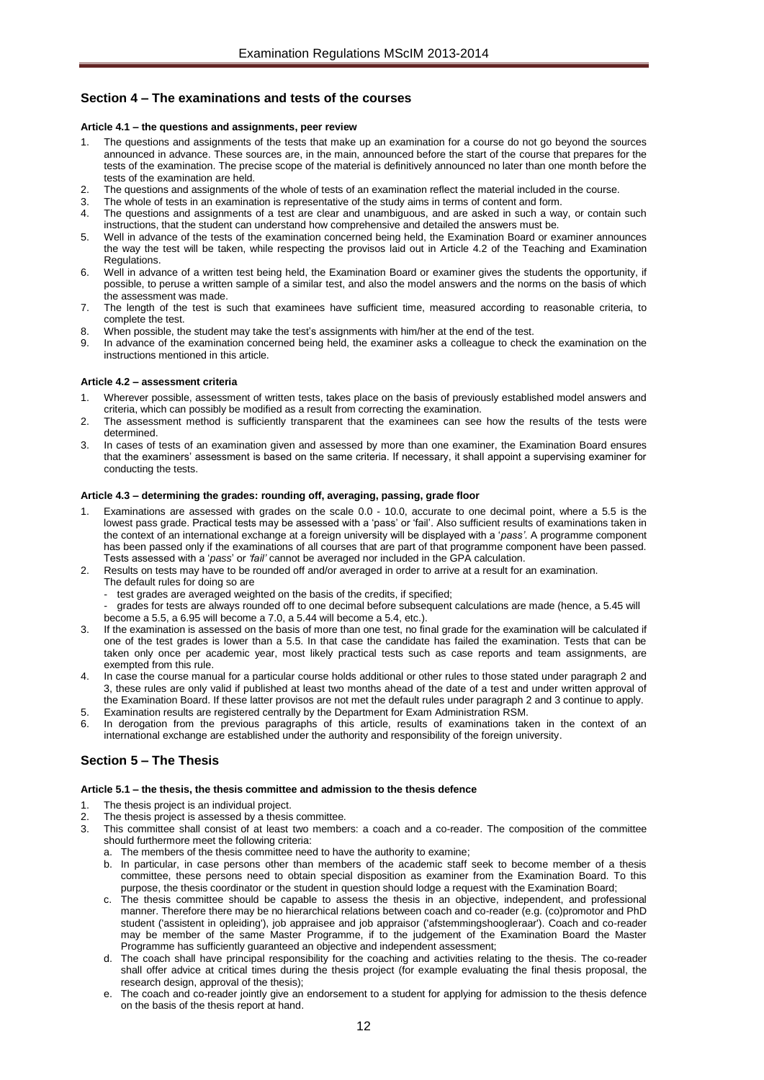### <span id="page-11-1"></span><span id="page-11-0"></span>**Section 4 – The examinations and tests of the courses**

### **Article 4.1 – the questions and assignments, peer review**

- 1. The questions and assignments of the tests that make up an examination for a course do not go beyond the sources announced in advance. These sources are, in the main, announced before the start of the course that prepares for the tests of the examination. The precise scope of the material is definitively announced no later than one month before the tests of the examination are held.
- 2. The questions and assignments of the whole of tests of an examination reflect the material included in the course.
- The whole of tests in an examination is representative of the study aims in terms of content and form.
- 4. The questions and assignments of a test are clear and unambiguous, and are asked in such a way, or contain such instructions, that the student can understand how comprehensive and detailed the answers must be.
- 5. Well in advance of the tests of the examination concerned being held, the Examination Board or examiner announces the way the test will be taken, while respecting the provisos laid out in Article 4.2 of the Teaching and Examination Regulations.
- 6. Well in advance of a written test being held, the Examination Board or examiner gives the students the opportunity, if possible, to peruse a written sample of a similar test, and also the model answers and the norms on the basis of which the assessment was made.
- 7. The length of the test is such that examinees have sufficient time, measured according to reasonable criteria, to complete the test.
- 8. When possible, the student may take the test's assignments with him/her at the end of the test.
- 9. In advance of the examination concerned being held, the examiner asks a colleague to check the examination on the instructions mentioned in this article.

### <span id="page-11-2"></span>**Article 4.2 – assessment criteria**

- 1. Wherever possible, assessment of written tests, takes place on the basis of previously established model answers and criteria, which can possibly be modified as a result from correcting the examination.
- 2. The assessment method is sufficiently transparent that the examinees can see how the results of the tests were determined.
- 3. In cases of tests of an examination given and assessed by more than one examiner, the Examination Board ensures that the examiners' assessment is based on the same criteria. If necessary, it shall appoint a supervising examiner for conducting the tests.

### <span id="page-11-3"></span>**Article 4.3 – determining the grades: rounding off, averaging, passing, grade floor**

- Examinations are assessed with grades on the scale 0.0 10.0, accurate to one decimal point, where a 5.5 is the lowest pass grade. Practical tests may be assessed with a 'pass' or 'fail'. Also sufficient results of examinations taken in the context of an international exchange at a foreign university will be displayed with a '*pass'*. A programme component has been passed only if the examinations of all courses that are part of that programme component have been passed. Tests assessed with a '*pass*' or *'fail'* cannot be averaged nor included in the GPA calculation.
- 2. Results on tests may have to be rounded off and/or averaged in order to arrive at a result for an examination.
	- The default rules for doing so are
	- test grades are averaged weighted on the basis of the credits, if specified;
	- grades for tests are always rounded off to one decimal before subsequent calculations are made (hence, a 5.45 will become a 5.5, a 6.95 will become a 7.0, a 5.44 will become a 5.4, etc.).
- If the examination is assessed on the basis of more than one test, no final grade for the examination will be calculated if one of the test grades is lower than a 5.5. In that case the candidate has failed the examination. Tests that can be taken only once per academic year, most likely practical tests such as case reports and team assignments, are exempted from this rule.
- 4. In case the course manual for a particular course holds additional or other rules to those stated under paragraph 2 and 3, these rules are only valid if published at least two months ahead of the date of a test and under written approval of the Examination Board. If these latter provisos are not met the default rules under paragraph 2 and 3 continue to apply.
- 5. Examination results are registered centrally by the Department for Exam Administration RSM.
- 6. In derogation from the previous paragraphs of this article, results of examinations taken in the context of an international exchange are established under the authority and responsibility of the foreign university.

## <span id="page-11-5"></span><span id="page-11-4"></span>**Section 5 – The Thesis**

### **Article 5.1 – the thesis, the thesis committee and admission to the thesis defence**

- The thesis project is an individual project.
- The thesis project is assessed by a thesis committee.
- 3. This committee shall consist of at least two members: a coach and a co-reader. The composition of the committee should furthermore meet the following criteria:
	- a. The members of the thesis committee need to have the authority to examine;
	- b. In particular, in case persons other than members of the academic staff seek to become member of a thesis committee, these persons need to obtain special disposition as examiner from the Examination Board. To this purpose, the thesis coordinator or the student in question should lodge a request with the Examination Board;
	- c. The thesis committee should be capable to assess the thesis in an objective, independent, and professional manner. Therefore there may be no hierarchical relations between coach and co-reader (e.g. (co)promotor and PhD student ('assistent in opleiding'), job appraisee and job appraisor ('afstemmingshoogleraar'). Coach and co-reader may be member of the same Master Programme, if to the judgement of the Examination Board the Master Programme has sufficiently guaranteed an objective and independent assessment;
	- d. The coach shall have principal responsibility for the coaching and activities relating to the thesis. The co-reader shall offer advice at critical times during the thesis project (for example evaluating the final thesis proposal, the research design, approval of the thesis);
	- e. The coach and co-reader jointly give an endorsement to a student for applying for admission to the thesis defence on the basis of the thesis report at hand.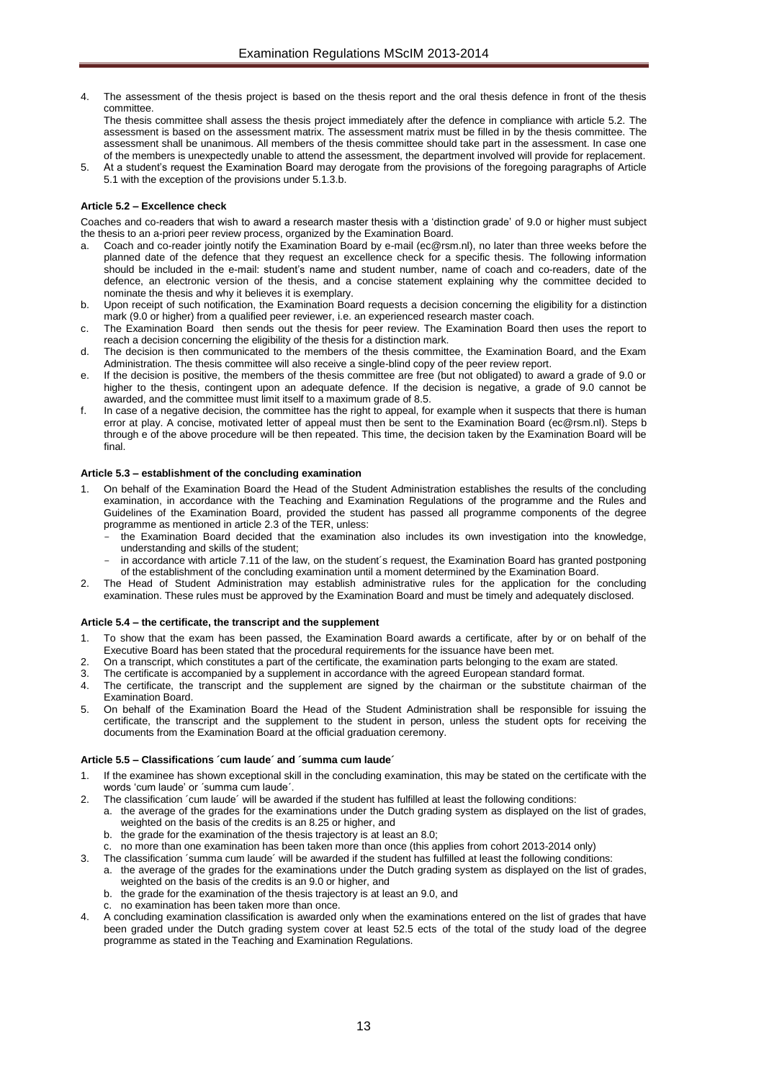- The assessment of the thesis project is based on the thesis report and the oral thesis defence in front of the thesis committee.
- The thesis committee shall assess the thesis project immediately after the defence in compliance with article 5.2. The assessment is based on the assessment matrix. The assessment matrix must be filled in by the thesis committee. The assessment shall be unanimous. All members of the thesis committee should take part in the assessment. In case one of the members is unexpectedly unable to attend the assessment, the department involved will provide for replacement.
- 5. At a student's request the Examination Board may derogate from the provisions of the foregoing paragraphs of Article 5.1 with the exception of the provisions under 5.1.3.b.

### <span id="page-12-0"></span>**Article 5.2 – Excellence check**

Coaches and co-readers that wish to award a research master thesis with a 'distinction grade' of 9.0 or higher must subject the thesis to an a-priori peer review process, organized by the Examination Board.

- a. Coach and co-reader jointly notify the Examination Board by e-mail [\(ec@rsm.nl\)](mailto:ec@rsm.nl), no later than three weeks before the planned date of the defence that they request an excellence check for a specific thesis. The following information should be included in the e-mail: student's name and student number, name of coach and co-readers, date of the defence, an electronic version of the thesis, and a concise statement explaining why the committee decided to nominate the thesis and why it believes it is exemplary.
- b. Upon receipt of such notification, the Examination Board requests a decision concerning the eligibility for a distinction mark (9.0 or higher) from a qualified peer reviewer, i.e. an experienced research master coach.
- c. The Examination Board then sends out the thesis for peer review. The Examination Board then uses the report to reach a decision concerning the eligibility of the thesis for a distinction mark.
- The decision is then communicated to the members of the thesis committee, the Examination Board, and the Exam Administration. The thesis committee will also receive a single-blind copy of the peer review report.
- e. If the decision is positive, the members of the thesis committee are free (but not obligated) to award a grade of 9.0 or higher to the thesis, contingent upon an adequate defence. If the decision is negative, a grade of 9.0 cannot be awarded, and the committee must limit itself to a maximum grade of 8.5.
- In case of a negative decision, the committee has the right to appeal, for example when it suspects that there is human error at play. A concise, motivated letter of appeal must then be sent to the Examination Board [\(ec@rsm.nl\)](mailto:ec@rsm.nl). Steps b through e of the above procedure will be then repeated. This time, the decision taken by the Examination Board will be final.

#### <span id="page-12-1"></span>**Article 5.3 – establishment of the concluding examination**

- 1. On behalf of the Examination Board the Head of the Student Administration establishes the results of the concluding examination, in accordance with the Teaching and Examination Regulations of the programme and the Rules and Guidelines of the Examination Board, provided the student has passed all programme components of the degree programme as mentioned in article 2.3 of the TER, unless:
	- the Examination Board decided that the examination also includes its own investigation into the knowledge, understanding and skills of the student;
	- in accordance with article 7.11 of the law, on the student's request, the Examination Board has granted postponing of the establishment of the concluding examination until a moment determined by the Examination Board.
- 2. The Head of Student Administration may establish administrative rules for the application for the concluding examination. These rules must be approved by the Examination Board and must be timely and adequately disclosed.

### <span id="page-12-2"></span>**Article 5.4 – the certificate, the transcript and the supplement**

- 1. To show that the exam has been passed, the Examination Board awards a certificate, after by or on behalf of the Executive Board has been stated that the procedural requirements for the issuance have been met.
- 2. On a transcript, which constitutes a part of the certificate, the examination parts belonging to the exam are stated.
- The certificate is accompanied by a supplement in accordance with the agreed European standard format.
- 4. The certificate, the transcript and the supplement are signed by the chairman or the substitute chairman of the Examination Board.
- 5. On behalf of the Examination Board the Head of the Student Administration shall be responsible for issuing the certificate, the transcript and the supplement to the student in person, unless the student opts for receiving the documents from the Examination Board at the official graduation ceremony.

#### <span id="page-12-3"></span>**Article 5.5 – Classifications ´cum laude´ and ´summa cum laude´**

- If the examinee has shown exceptional skill in the concluding examination, this may be stated on the certificate with the words 'cum laude' or ´summa cum laude´.
- The classification ´cum laude´ will be awarded if the student has fulfilled at least the following conditions:
	- a. the average of the grades for the examinations under the Dutch grading system as displayed on the list of grades, weighted on the basis of the credits is an 8.25 or higher, and
	- b. the grade for the examination of the thesis trajectory is at least an 8.0;
	- c. no more than one examination has been taken more than once (this applies from cohort 2013-2014 only)
- 3. The classification ´summa cum laude´ will be awarded if the student has fulfilled at least the following conditions:
- a. the average of the grades for the examinations under the Dutch grading system as displayed on the list of grades, weighted on the basis of the credits is an 9.0 or higher, and
	- b. the grade for the examination of the thesis trajectory is at least an 9.0, and
	- c. no examination has been taken more than once.
- 4. A concluding examination classification is awarded only when the examinations entered on the list of grades that have been graded under the Dutch grading system cover at least 52.5 ects of the total of the study load of the degree programme as stated in the Teaching and Examination Regulations.